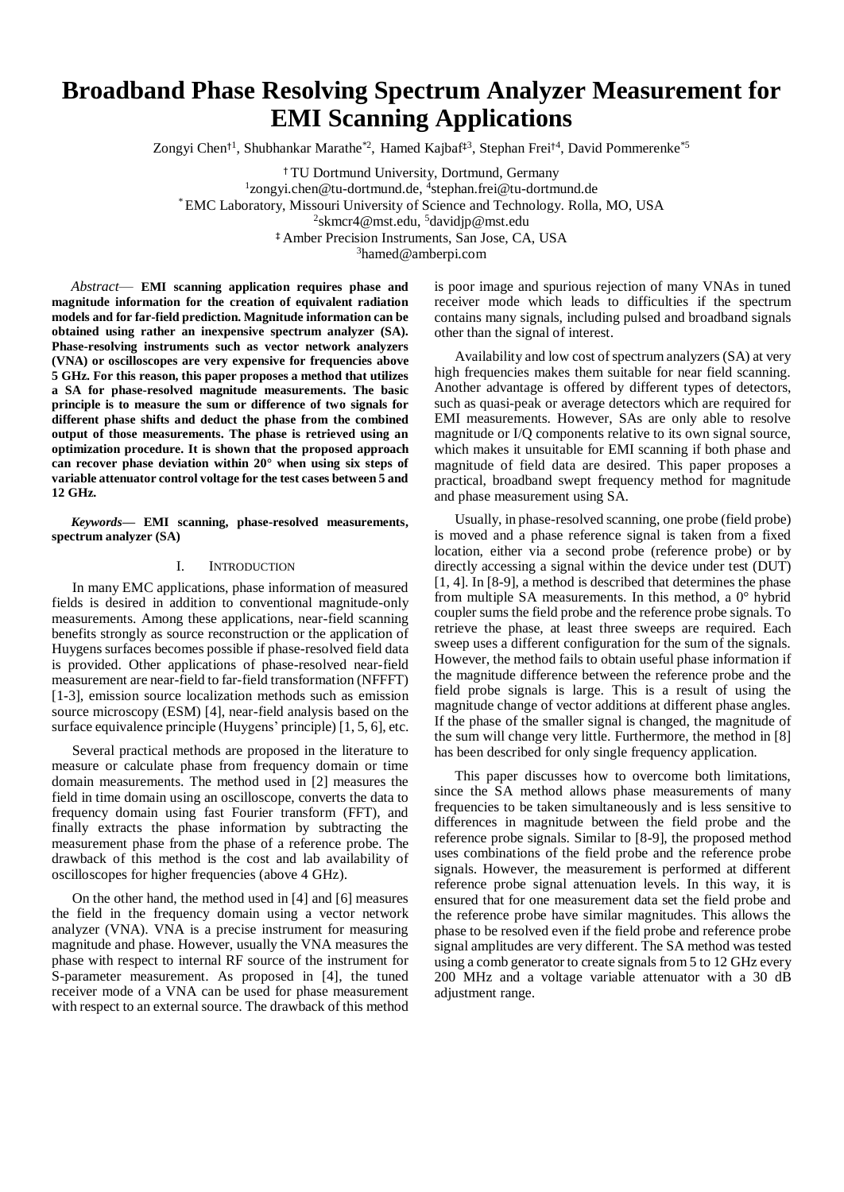# **Broadband Phase Resolving Spectrum Analyzer Measurement for EMI Scanning Applications**

Zongyi Chen<sup>†1</sup>, Shubhankar Marathe<sup>\*2</sup>, Hamed Kajbaf<sup>‡3</sup>, Stephan Frei<sup>†4</sup>, David Pommerenke<sup>\*5</sup>

† TU Dortmund University, Dortmund, Germany

<sup>1</sup>[zongyi.chen@tu-dortmund.de,](mailto:1zongyi.chen@tu-dortmund.de) <sup>4</sup>stephan.frei@tu-dortmund.de

\* EMC Laboratory, Missouri University of Science and Technology. Rolla, MO, USA

2 skmcr4@mst.edu, <sup>5</sup>davidjp@mst.edu

‡ Amber Precision Instruments, San Jose, CA, USA

<sup>3</sup>hamed@amberpi.com

*Abstract*— **EMI scanning application requires phase and magnitude information for the creation of equivalent radiation models and for far-field prediction. Magnitude information can be obtained using rather an inexpensive spectrum analyzer (SA). Phase-resolving instruments such as vector network analyzers (VNA) or oscilloscopes are very expensive for frequencies above 5 GHz. For this reason, this paper proposes a method that utilizes a SA for phase-resolved magnitude measurements. The basic principle is to measure the sum or difference of two signals for different phase shifts and deduct the phase from the combined output of those measurements. The phase is retrieved using an optimization procedure. It is shown that the proposed approach can recover phase deviation within 20° when using six steps of variable attenuator control voltage for the test cases between 5 and 12 GHz.**

*Keywords***— EMI scanning, phase-resolved measurements, spectrum analyzer (SA)**

## I. INTRODUCTION

In many EMC applications, phase information of measured fields is desired in addition to conventional magnitude-only measurements. Among these applications, near-field scanning benefits strongly as source reconstruction or the application of Huygens surfaces becomes possible if phase-resolved field data is provided. Other applications of phase-resolved near-field measurement are near-field to far-field transformation (NFFFT) [1-3], emission source localization methods such as emission source microscopy (ESM) [4], near-field analysis based on the surface equivalence principle (Huygens' principle) [1, 5, 6], etc.

Several practical methods are proposed in the literature to measure or calculate phase from frequency domain or time domain measurements. The method used in [2] measures the field in time domain using an oscilloscope, converts the data to frequency domain using fast Fourier transform (FFT), and finally extracts the phase information by subtracting the measurement phase from the phase of a reference probe. The drawback of this method is the cost and lab availability of oscilloscopes for higher frequencies (above 4 GHz).

On the other hand, the method used in [4] and [6] measures the field in the frequency domain using a vector network analyzer (VNA). VNA is a precise instrument for measuring magnitude and phase. However, usually the VNA measures the phase with respect to internal RF source of the instrument for S-parameter measurement. As proposed in [4], the tuned receiver mode of a VNA can be used for phase measurement with respect to an external source. The drawback of this method

is poor image and spurious rejection of many VNAs in tuned receiver mode which leads to difficulties if the spectrum contains many signals, including pulsed and broadband signals other than the signal of interest.

Availability and low cost of spectrum analyzers (SA) at very high frequencies makes them suitable for near field scanning. Another advantage is offered by different types of detectors, such as quasi-peak or average detectors which are required for EMI measurements. However, SAs are only able to resolve magnitude or I/Q components relative to its own signal source, which makes it unsuitable for EMI scanning if both phase and magnitude of field data are desired. This paper proposes a practical, broadband swept frequency method for magnitude and phase measurement using SA.

Usually, in phase-resolved scanning, one probe (field probe) is moved and a phase reference signal is taken from a fixed location, either via a second probe (reference probe) or by directly accessing a signal within the device under test (DUT) [1, 4]. In [8-9], a method is described that determines the phase from multiple SA measurements. In this method, a 0° hybrid coupler sums the field probe and the reference probe signals. To retrieve the phase, at least three sweeps are required. Each sweep uses a different configuration for the sum of the signals. However, the method fails to obtain useful phase information if the magnitude difference between the reference probe and the field probe signals is large. This is a result of using the magnitude change of vector additions at different phase angles. If the phase of the smaller signal is changed, the magnitude of the sum will change very little. Furthermore, the method in [8] has been described for only single frequency application.

This paper discusses how to overcome both limitations, since the SA method allows phase measurements of many frequencies to be taken simultaneously and is less sensitive to differences in magnitude between the field probe and the reference probe signals. Similar to [8-9], the proposed method uses combinations of the field probe and the reference probe signals. However, the measurement is performed at different reference probe signal attenuation levels. In this way, it is ensured that for one measurement data set the field probe and the reference probe have similar magnitudes. This allows the phase to be resolved even if the field probe and reference probe signal amplitudes are very different. The SA method was tested using a comb generator to create signals from 5 to 12 GHz every 200 MHz and a voltage variable attenuator with a 30 dB adjustment range.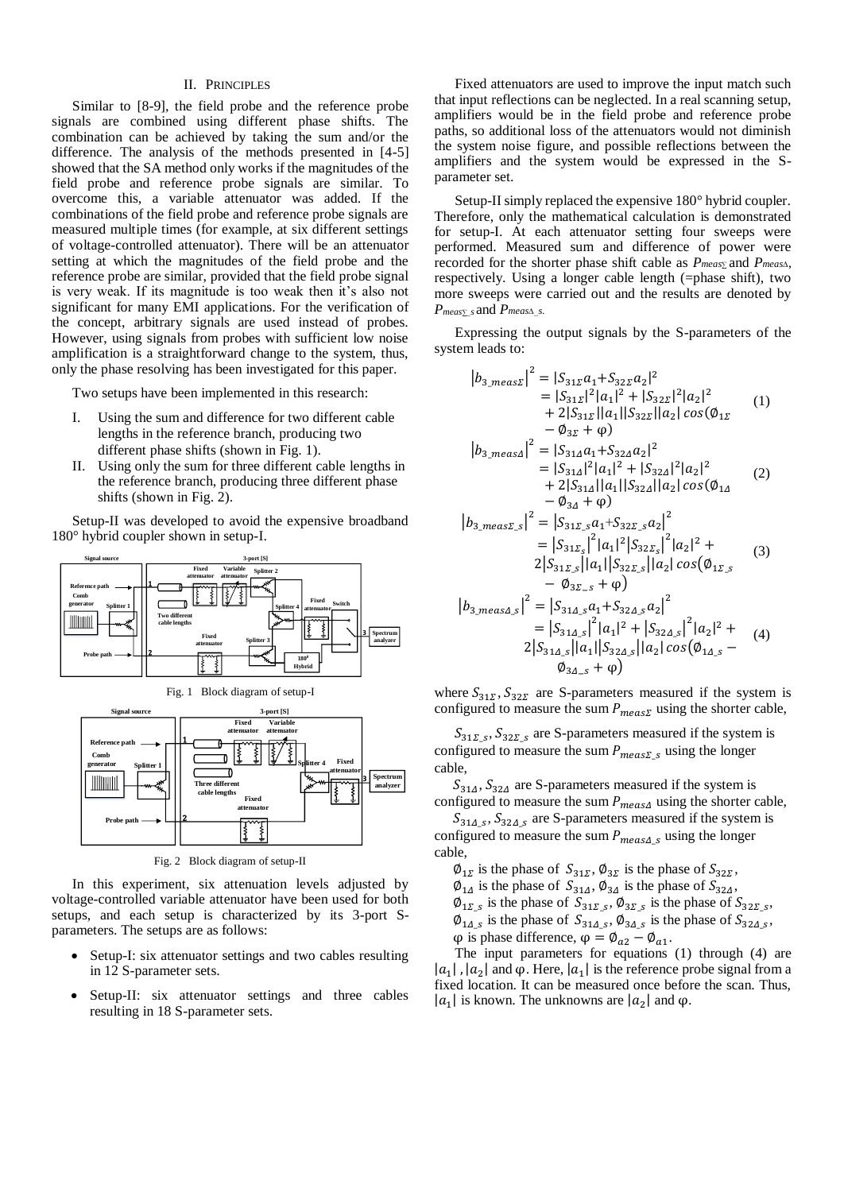## II. PRINCIPLES

Similar to [8-9], the field probe and the reference probe signals are combined using different phase shifts. The combination can be achieved by taking the sum and/or the difference. The analysis of the methods presented in [4-5] showed that the SA method only works if the magnitudes of the field probe and reference probe signals are similar. To overcome this, a variable attenuator was added. If the combinations of the field probe and reference probe signals are measured multiple times (for example, at six different settings of voltage-controlled attenuator). There will be an attenuator setting at which the magnitudes of the field probe and the reference probe are similar, provided that the field probe signal is very weak. If its magnitude is too weak then it's also not significant for many EMI applications. For the verification of the concept, arbitrary signals are used instead of probes. However, using signals from probes with sufficient low noise amplification is a straightforward change to the system, thus, only the phase resolving has been investigated for this paper.

Two setups have been implemented in this research:

- I. Using the sum and difference for two different cable lengths in the reference branch, producing two different phase shifts (shown in Fig. 1).
- II. Using only the sum for three different cable lengths in the reference branch, producing three different phase shifts (shown in Fig. 2).

Setup-II was developed to avoid the expensive broadband 180° hybrid coupler shown in setup-I.



┓ **attenuatorIIIIIIIIII Spectrum 3 Three different analyzer cable lengths Fixed attenuator Probe path** 2

Fig. 2 Block diagram of setup-II

In this experiment, six attenuation levels adjusted by voltage-controlled variable attenuator have been used for both setups, and each setup is characterized by its 3-port Sparameters. The setups are as follows:

- Setup-I: six attenuator settings and two cables resulting in 12 S-parameter sets.
- Setup-II: six attenuator settings and three cables resulting in 18 S-parameter sets.

Fixed attenuators are used to improve the input match such that input reflections can be neglected. In a real scanning setup, amplifiers would be in the field probe and reference probe paths, so additional loss of the attenuators would not diminish the system noise figure, and possible reflections between the amplifiers and the system would be expressed in the Sparameter set.

Setup-II simply replaced the expensive 180° hybrid coupler. Therefore, only the mathematical calculation is demonstrated for setup-I. At each attenuator setting four sweeps were performed. Measured sum and difference of power were recorded for the shorter phase shift cable as *Pmeas∑* and *Pmeas∆*, respectively. Using a longer cable length (=phase shift), two more sweeps were carried out and the results are denoted by *Pmeas∑\_<sup>s</sup>* and *Pmeas∆\_s.*

Expressing the output signals by the S-parameters of the system leads to:

$$
|b_{3\_meas}z|^{2} = |S_{31L}a_{1}+S_{32L}a_{2}|^{2}
$$
  
\n
$$
= |S_{31L}|^{2}|a_{1}|^{2} + |S_{32L}|^{2}|a_{2}|^{2}
$$
  
\n
$$
+ 2|S_{31L}||a_{1}||S_{32L}||a_{2}|cos(\phi_{1L} - \phi_{3L} + \phi)
$$
  
\n
$$
|b_{3\_meas}|\big|^{2} = |S_{31A}a_{1}+S_{32A}a_{2}|^{2}
$$
  
\n
$$
= |S_{31A}|^{2}|a_{1}|^{2} + |S_{32A}|^{2}|a_{2}|^{2}
$$
  
\n
$$
+ 2|S_{31A}||a_{1}||S_{32A}||a_{2}|cos(\phi_{1A} - \phi_{3A} + \phi)
$$
  
\n
$$
|b_{3\_meas}z_{s}|^{2} = |S_{31L_{s}}a_{1}+S_{32L_{s}}a_{2}|^{2}
$$
  
\n
$$
= |S_{31L_{s}}|^{2}|a_{1}|^{2}|S_{32L_{s}}|a_{2}|^{2} + 2|S_{31L_{s}}||a_{1}||S_{32L_{s}}||a_{2}|cos(\phi_{1L_{s}} - \phi_{3L_{s}} + \phi)
$$
  
\n
$$
|b_{3\_meas}A_{s}|^{2} = |S_{31A_{s}}a_{1}+S_{32A_{s}}a_{2}|^{2}
$$
  
\n
$$
= |S_{31A_{s}}|^{2}|a_{1}|^{2} + |S_{32A_{s}}|^{2}|a_{2}|^{2} + 2|S_{31A_{s}}||a_{1}||S_{32A_{s}}||a_{2}|cos(\phi_{1A_{s}} - \phi_{3L_{s}} + \phi_{3L_{s}}||a_{1}||S_{32A_{s}}||a_{2}|cos(\phi_{1A_{s}} - \phi_{3L_{s}} + \phi_{3L_{s}} + \phi_{3L_{s}}||a_{1}||S_{32A_{s}}||a_{2}|cos(\phi_{1A_{s}} - \phi_{3L_{s}} + \phi_{3L_{s}} + \phi_{3L_{s}} + \phi_{3L_{s}} + \phi_{3L_{s}} + \phi_{3L_{s}} + \
$$

where  $S_{31\Sigma}$ ,  $S_{32\Sigma}$  are S-parameters measured if the system is configured to measure the sum  $P_{meas}$  using the shorter cable,

 $\phi_{34, s} + \phi$ 

 $S_{31\Sigma_s}$ ,  $S_{32\Sigma_s}$  are S-parameters measured if the system is configured to measure the sum  $P_{meas}$  s using the longer cable,

 $S_{314}$ ,  $S_{324}$  are S-parameters measured if the system is configured to measure the sum  $P_{meas\Delta}$  using the shorter cable,

 $S_{31\Delta,s}$ ,  $S_{32\Delta,s}$  are S-parameters measured if the system is configured to measure the sum  $P_{meas\Delta s}$  using the longer cable,

 $\varphi_{1\Sigma}$  is the phase of  $S_{31\Sigma}$ ,  $\varphi_{3\Sigma}$  is the phase of  $S_{32\Sigma}$ ,  $\varphi_{1\Delta}$  is the phase of  $S_{31\Delta}$ ,  $\varphi_{3\Delta}$  is the phase of  $S_{32\Delta}$ ,  $\varphi_{1\Sigma_s}$  is the phase of  $S_{31\Sigma_s}$ ,  $\varphi_{3\Sigma_s}$  is the phase of  $S_{32\Sigma_s}$ ,  $\varphi_{14,s}$  is the phase of  $S_{314,s}$ ,  $\varphi_{34,s}$  is the phase of  $S_{324,s}$ ,

$$
\varphi
$$
 is phase difference,  $\varphi = \varphi_{a2} - \varphi_{a1}$ .

The input parameters for equations (1) through (4) are  $|a_1|$ ,  $|a_2|$  and  $\varphi$ . Here,  $|a_1|$  is the reference probe signal from a fixed location. It can be measured once before the scan. Thus,  $|a_1|$  is known. The unknowns are  $|a_2|$  and  $\varphi$ .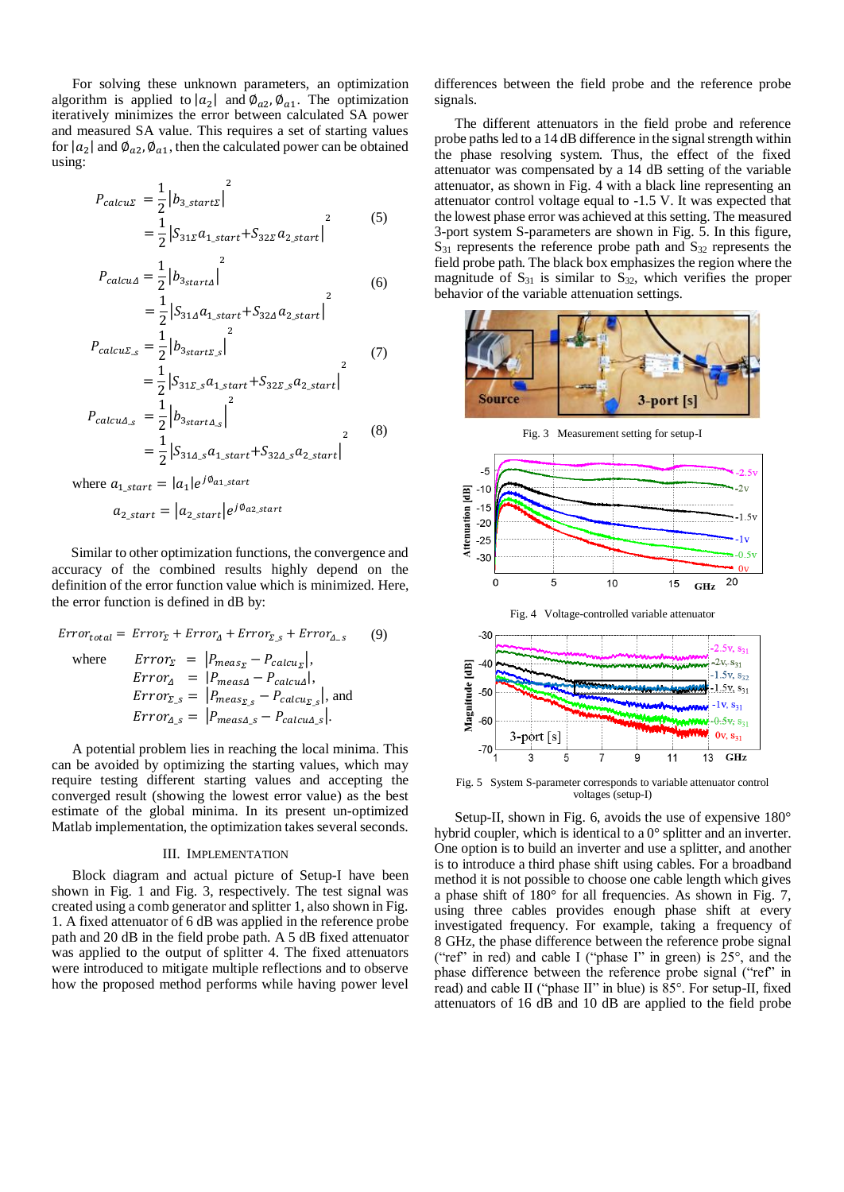For solving these unknown parameters, an optimization algorithm is applied to  $|a_2|$  and  $\varnothing_{a_2}, \varnothing_{a_1}$ . The optimization iteratively minimizes the error between calculated SA power and measured SA value. This requires a set of starting values for  $|a_2|$  and  $\varnothing_{a_2}, \varnothing_{a_1}$ , then the calculated power can be obtained using:

$$
P_{calU} = \frac{1}{2} |b_{3\_start} \rangle^2
$$
  
=  $\frac{1}{2} |S_{31} \Omega_{1\_start} + S_{32} \Omega_{2\_start}|^2$  (5)

$$
P_{calcu\Delta} = \frac{1}{2} |b_{3_{start\Delta}}|^2
$$
\n
$$
= \frac{1}{2} |S_{31\Delta} a_{1_{start}} + S_{32\Delta} a_{2_{start}}|^2
$$
\n(6)

$$
P_{calS} = \frac{1}{2} |b_{3\, \text{start} \Sigma, s}|^2
$$
\n(7)

$$
= \frac{1}{2} |S_{31\Sigma_s} a_{1\_start} + S_{32\Sigma_s} a_{2\_start}|
$$
  
\n
$$
P_{calcu\Delta_s} = \frac{1}{2} |b_{3\_start\Delta_s}|^2
$$
  
\n
$$
= \frac{1}{2} |S_{31\Delta_s} a_{1\_start} + S_{32\Delta_s} a_{2\_start}|^2
$$
\n(8)

where  $a_{1\_start} = |a_1|e^{j\phi_{a1\_start}}$ 

$$
a_{2\_start} = |a_{2\_start}|e^{j\emptyset_{a2\_start}}
$$

Similar to other optimization functions, the convergence and accuracy of the combined results highly depend on the definition of the error function value which is minimized. Here, the error function is defined in dB by:

$$
Error_{total} = Error_{\Sigma} + Error_{\Delta} + Error_{\Sigma,s} + Error_{\Delta-s}
$$
(9)  
where 
$$
Error_{\Sigma} = |P_{meas_{\Sigma}} - P_{calcu}_{\Sigma}|,
$$

$$
Error_{\Delta} = |P_{meas_{\Delta}} - P_{calcu}_{\Delta}|,
$$

$$
Error_{\Sigma,s} = |P_{meas_{\Sigma,s}} - P_{calcu}_{\Sigma,s}|,
$$
and
$$
Error_{\Delta,s} = |P_{meas_{\Delta,s}} - P_{calcu}_{\Delta,s}|.
$$

A potential problem lies in reaching the local minima. This can be avoided by optimizing the starting values, which may require testing different starting values and accepting the converged result (showing the lowest error value) as the best estimate of the global minima. In its present un-optimized Matlab implementation, the optimization takes several seconds.

#### III. IMPLEMENTATION

Block diagram and actual picture of Setup-I have been shown in Fig. 1 and Fig. 3, respectively. The test signal was created using a comb generator and splitter 1, also shown in Fig. 1. A fixed attenuator of 6 dB was applied in the reference probe path and 20 dB in the field probe path. A 5 dB fixed attenuator was applied to the output of splitter 4. The fixed attenuators were introduced to mitigate multiple reflections and to observe how the proposed method performs while having power level differences between the field probe and the reference probe signals.

The different attenuators in the field probe and reference probe paths led to a 14 dB difference in the signal strength within the phase resolving system. Thus, the effect of the fixed attenuator was compensated by a 14 dB setting of the variable attenuator, as shown in Fig. 4 with a black line representing an attenuator control voltage equal to -1.5 V. It was expected that the lowest phase error was achieved at this setting. The measured 3-port system S-parameters are shown in Fig. 5. In this figure,  $S_{31}$  represents the reference probe path and  $S_{32}$  represents the field probe path. The black box emphasizes the region where the magnitude of  $S_{31}$  is similar to  $S_{32}$ , which verifies the proper behavior of the variable attenuation settings.



Fig. 3 Measurement setting for setup-I





Fig. 5 System S-parameter corresponds to variable attenuator control voltages (setup-I)

Setup-II, shown in Fig. 6, avoids the use of expensive 180° hybrid coupler, which is identical to a 0° splitter and an inverter. One option is to build an inverter and use a splitter, and another is to introduce a third phase shift using cables. For a broadband method it is not possible to choose one cable length which gives a phase shift of 180° for all frequencies. As shown in Fig. 7, using three cables provides enough phase shift at every investigated frequency. For example, taking a frequency of 8 GHz, the phase difference between the reference probe signal ("ref" in red) and cable I ("phase I" in green) is  $25^{\circ}$ , and the phase difference between the reference probe signal ("ref" in read) and cable II ("phase II" in blue) is 85°. For setup-II, fixed attenuators of 16 dB and 10 dB are applied to the field probe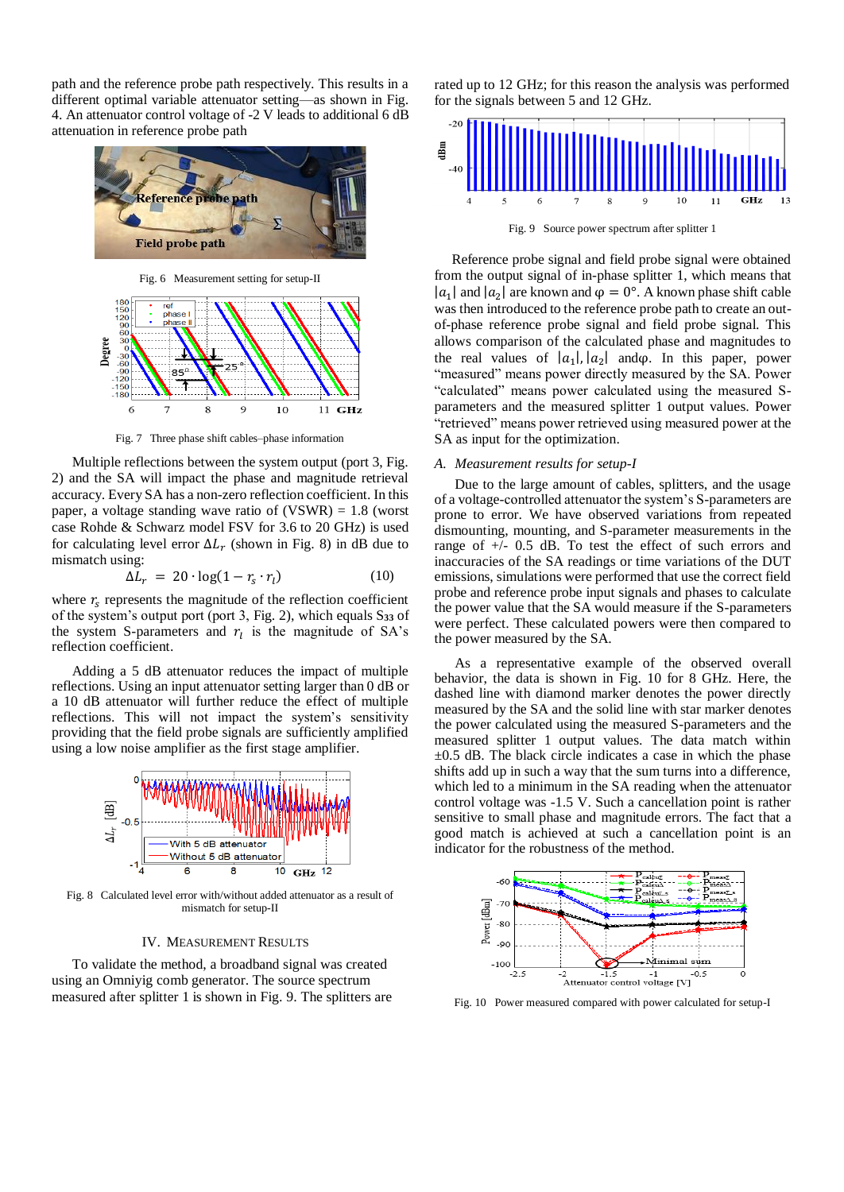path and the reference probe path respectively. This results in a different optimal variable attenuator setting—as shown in Fig. 4. An attenuator control voltage of -2 V leads to additional 6 dB attenuation in reference probe path



Fig. 6 Measurement setting for setup-II



Fig. 7 Three phase shift cables–phase information

Multiple reflections between the system output (port 3, Fig. 2) and the SA will impact the phase and magnitude retrieval accuracy. Every SA has a non-zero reflection coefficient. In this paper, a voltage standing wave ratio of  $(VSWR) = 1.8$  (worst case Rohde & Schwarz model FSV for 3.6 to 20 GHz) is used for calculating level error  $\Delta L_r$  (shown in Fig. 8) in dB due to mismatch using:

$$
\Delta L_r = 20 \cdot \log(1 - r_s \cdot r_l) \tag{10}
$$

where  $r_s$  represents the magnitude of the reflection coefficient of the system's output port (port 3, Fig. 2), which equals S**<sup>33</sup>** of the system S-parameters and  $r_l$  is the magnitude of SA's reflection coefficient.

Adding a 5 dB attenuator reduces the impact of multiple reflections. Using an input attenuator setting larger than 0 dB or a 10 dB attenuator will further reduce the effect of multiple reflections. This will not impact the system's sensitivity providing that the field probe signals are sufficiently amplified using a low noise amplifier as the first stage amplifier.



Fig. 8 Calculated level error with/without added attenuator as a result of mismatch for setup-II

#### IV. MEASUREMENT RESULTS

To validate the method, a broadband signal was created using an Omniyig comb generator. The source spectrum measured after splitter 1 is shown in Fig. 9. The splitters are rated up to 12 GHz; for this reason the analysis was performed for the signals between 5 and 12 GHz.



Fig. 9 Source power spectrum after splitter 1

 Reference probe signal and field probe signal were obtained from the output signal of in-phase splitter 1, which means that |a<sub>1</sub>| and  $|a_2|$  are known and  $\varphi = 0^\circ$ . A known phase shift cable was then introduced to the reference probe path to create an outof-phase reference probe signal and field probe signal. This allows comparison of the calculated phase and magnitudes to the real values of  $|a_1|, |a_2|$  and  $\varphi$ . In this paper, power "measured" means power directly measured by the SA. Power "calculated" means power calculated using the measured Sparameters and the measured splitter 1 output values. Power "retrieved" means power retrieved using measured power at the SA as input for the optimization.

## *A. Measurement results for setup-I*

Due to the large amount of cables, splitters, and the usage of a voltage-controlled attenuator the system's S-parameters are prone to error. We have observed variations from repeated dismounting, mounting, and S-parameter measurements in the range of +/- 0.5 dB. To test the effect of such errors and inaccuracies of the SA readings or time variations of the DUT emissions, simulations were performed that use the correct field probe and reference probe input signals and phases to calculate the power value that the SA would measure if the S-parameters were perfect. These calculated powers were then compared to the power measured by the SA.

As a representative example of the observed overall behavior, the data is shown in Fig. 10 for 8 GHz. Here, the dashed line with diamond marker denotes the power directly measured by the SA and the solid line with star marker denotes the power calculated using the measured S-parameters and the measured splitter 1 output values. The data match within  $\pm 0.5$  dB. The black circle indicates a case in which the phase shifts add up in such a way that the sum turns into a difference, which led to a minimum in the SA reading when the attenuator control voltage was -1.5 V. Such a cancellation point is rather sensitive to small phase and magnitude errors. The fact that a good match is achieved at such a cancellation point is an indicator for the robustness of the method.



Fig. 10 Power measured compared with power calculated for setup-I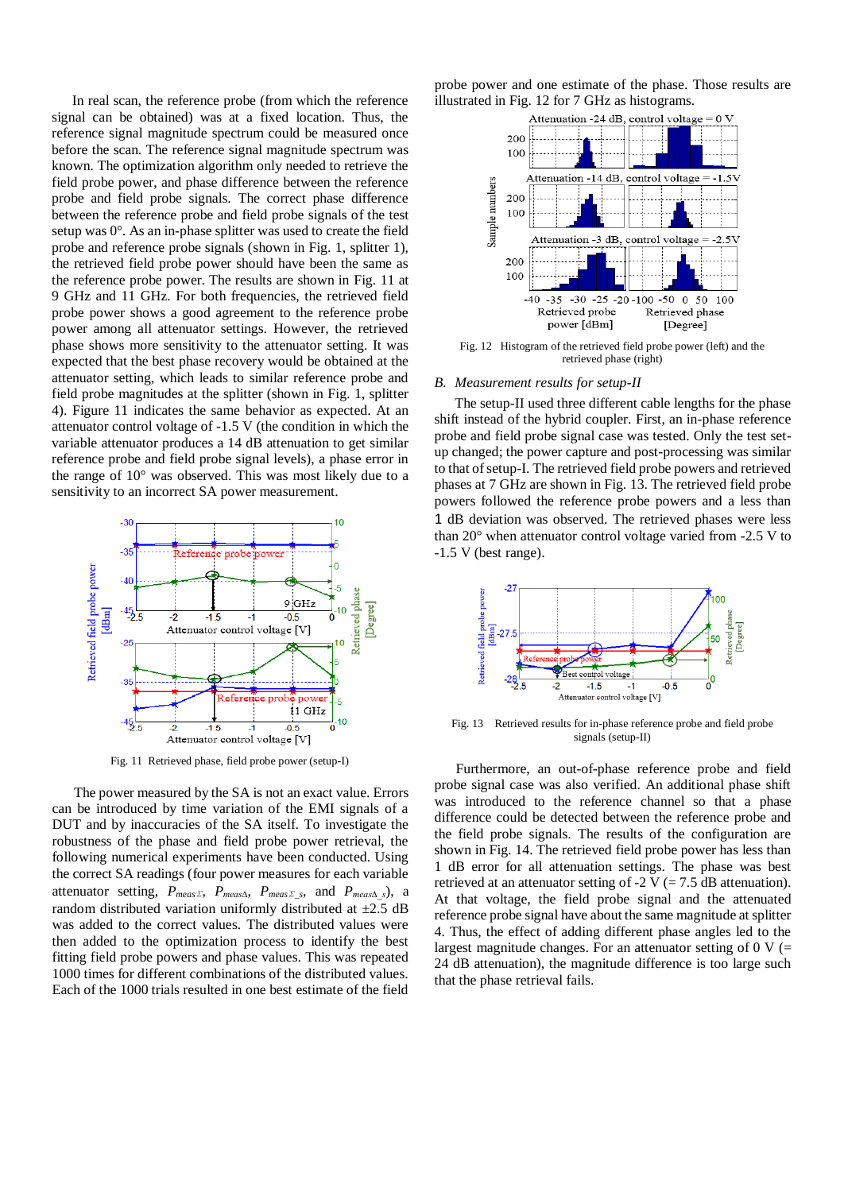In real scan, the reference probe (from which the reference signal can be obtained) was at a fixed location. Thus, the reference signal magnitude spectrum could be measured once before the scan. The reference signal magnitude spectrum was known. The optimization algorithm only needed to retrieve the field probe power, and phase difference between the reference probe and field probe signals. The correct phase difference between the reference probe and field probe signals of the test setup was 0°. As an in-phase splitter was used to create the field probe and reference probe signals (shown in Fig. 1, splitter 1), the retrieved field probe power should have been the same as the reference probe power. The results are shown in Fig. 11 at 9 GHz and 11 GHz. For both frequencies, the retrieved field probe power shows a good agreement to the reference probe power among all attenuator settings. However, the retrieved phase shows more sensitivity to the attenuator setting. It was expected that the best phase recovery would be obtained at the attenuator setting, which leads to similar reference probe and field probe magnitudes at the splitter (shown in Fig. 1, splitter 4). Figure 11 indicates the same behavior as expected. At an attenuator control voltage of -1.5 V (the condition in which the variable attenuator produces a 14 dB attenuation to get similar reference probe and field probe signal levels), a phase error in the range of 10° was observed. This was most likely due to a sensitivity to an incorrect SA power measurement.



Fig. 11 Retrieved phase, field probe power (setup-I)

 The power measured by the SA is not an exact value. Errors can be introduced by time variation of the EMI signals of a DUT and by inaccuracies of the SA itself. To investigate the robustness of the phase and field probe power retrieval, the following numerical experiments have been conducted. Using the correct SA readings (four power measures for each variable attenuator setting, *Pmeas*∑, *Pmeas∆*, *Pmeas*∑*\_s*, and *Pmeas∆\_s*), a random distributed variation uniformly distributed at  $\pm 2.5$  dB was added to the correct values. The distributed values were then added to the optimization process to identify the best fitting field probe powers and phase values. This was repeated 1000 times for different combinations of the distributed values. Each of the 1000 trials resulted in one best estimate of the field

probe power and one estimate of the phase. Those results are illustrated in Fig. 12 for 7 GHz as histograms.



Fig. 12 Histogram of the retrieved field probe power (left) and the retrieved phase (right)

#### *B. Measurement results for setup-II*

The setup-II used three different cable lengths for the phase shift instead of the hybrid coupler. First, an in-phase reference probe and field probe signal case was tested. Only the test setup changed; the power capture and post-processing was similar to that of setup-I. The retrieved field probe powers and retrieved phases at 7 GHz are shown in Fig. 13. The retrieved field probe powers followed the reference probe powers and a less than 1 dB deviation was observed. The retrieved phases were less than 20° when attenuator control voltage varied from -2.5 V to -1.5 V (best range).



Fig. 13 Retrieved results for in-phase reference probe and field probe signals (setup-II)

 Furthermore, an out-of-phase reference probe and field probe signal case was also verified. An additional phase shift was introduced to the reference channel so that a phase difference could be detected between the reference probe and the field probe signals. The results of the configuration are shown in Fig. 14. The retrieved field probe power has less than 1 dB error for all attenuation settings. The phase was best retrieved at an attenuator setting of  $-2$  V (= 7.5 dB attenuation). At that voltage, the field probe signal and the attenuated reference probe signal have about the same magnitude at splitter 4. Thus, the effect of adding different phase angles led to the largest magnitude changes. For an attenuator setting of  $0 \text{ V}$  (= 24 dB attenuation), the magnitude difference is too large such that the phase retrieval fails.